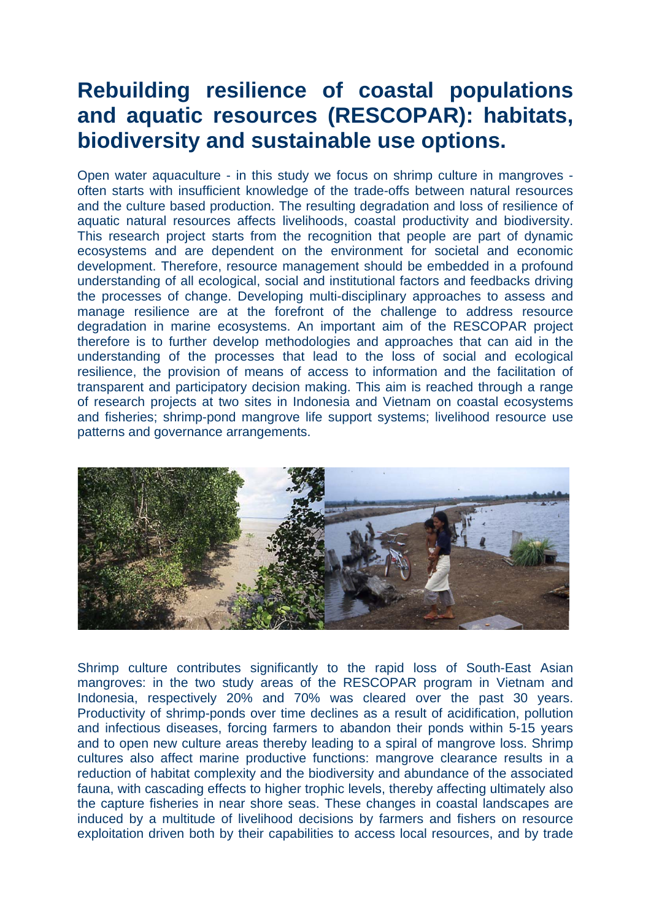# **Rebuilding resilience of coastal populations and aquatic resources (RESCOPAR): habitats, biodiversity and sustainable use options.**

Open water aquaculture - in this study we focus on shrimp culture in mangroves often starts with insufficient knowledge of the trade-offs between natural resources and the culture based production. The resulting degradation and loss of resilience of aquatic natural resources affects livelihoods, coastal productivity and biodiversity. This research project starts from the recognition that people are part of dynamic ecosystems and are dependent on the environment for societal and economic development. Therefore, resource management should be embedded in a profound understanding of all ecological, social and institutional factors and feedbacks driving the processes of change. Developing multi-disciplinary approaches to assess and manage resilience are at the forefront of the challenge to address resource degradation in marine ecosystems. An important aim of the RESCOPAR project therefore is to further develop methodologies and approaches that can aid in the understanding of the processes that lead to the loss of social and ecological resilience, the provision of means of access to information and the facilitation of transparent and participatory decision making. This aim is reached through a range of research projects at two sites in Indonesia and Vietnam on coastal ecosystems and fisheries; shrimp-pond mangrove life support systems; livelihood resource use patterns and governance arrangements.



Shrimp culture contributes significantly to the rapid loss of South-East Asian mangroves: in the two study areas of the RESCOPAR program in Vietnam and Indonesia, respectively 20% and 70% was cleared over the past 30 years. Productivity of shrimp-ponds over time declines as a result of acidification, pollution and infectious diseases, forcing farmers to abandon their ponds within 5-15 years and to open new culture areas thereby leading to a spiral of mangrove loss. Shrimp cultures also affect marine productive functions: mangrove clearance results in a reduction of habitat complexity and the biodiversity and abundance of the associated fauna, with cascading effects to higher trophic levels, thereby affecting ultimately also the capture fisheries in near shore seas. These changes in coastal landscapes are induced by a multitude of livelihood decisions by farmers and fishers on resource exploitation driven both by their capabilities to access local resources, and by trade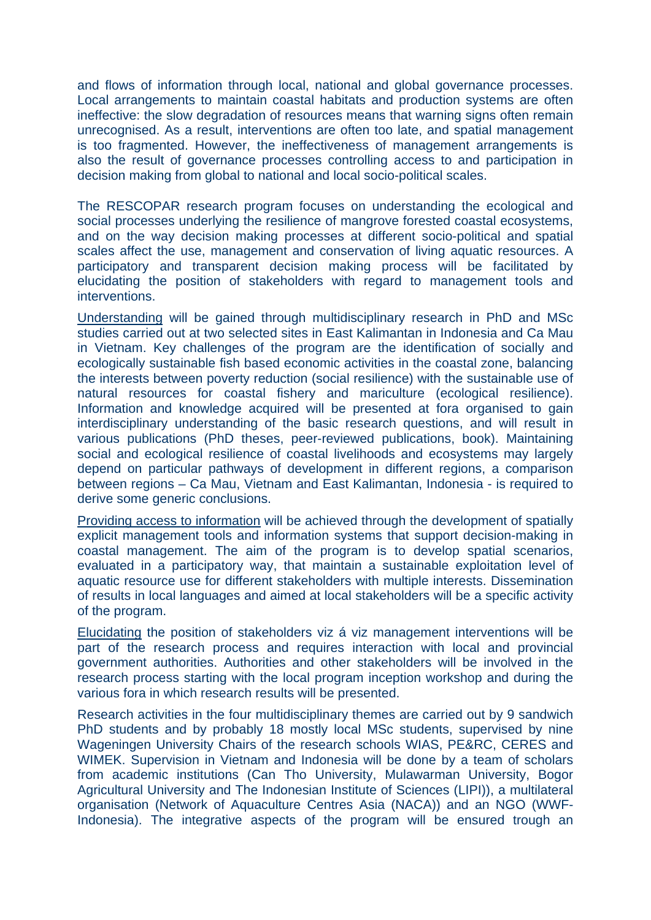and flows of information through local, national and global governance processes. Local arrangements to maintain coastal habitats and production systems are often ineffective: the slow degradation of resources means that warning signs often remain unrecognised. As a result, interventions are often too late, and spatial management is too fragmented. However, the ineffectiveness of management arrangements is also the result of governance processes controlling access to and participation in decision making from global to national and local socio-political scales.

The RESCOPAR research program focuses on understanding the ecological and social processes underlying the resilience of mangrove forested coastal ecosystems, and on the way decision making processes at different socio-political and spatial scales affect the use, management and conservation of living aquatic resources. A participatory and transparent decision making process will be facilitated by elucidating the position of stakeholders with regard to management tools and interventions.

Understanding will be gained through multidisciplinary research in PhD and MSc studies carried out at two selected sites in East Kalimantan in Indonesia and Ca Mau in Vietnam. Key challenges of the program are the identification of socially and ecologically sustainable fish based economic activities in the coastal zone, balancing the interests between poverty reduction (social resilience) with the sustainable use of natural resources for coastal fishery and mariculture (ecological resilience). Information and knowledge acquired will be presented at fora organised to gain interdisciplinary understanding of the basic research questions, and will result in various publications (PhD theses, peer-reviewed publications, book). Maintaining social and ecological resilience of coastal livelihoods and ecosystems may largely depend on particular pathways of development in different regions, a comparison between regions – Ca Mau, Vietnam and East Kalimantan, Indonesia - is required to derive some generic conclusions.

Providing access to information will be achieved through the development of spatially explicit management tools and information systems that support decision-making in coastal management. The aim of the program is to develop spatial scenarios, evaluated in a participatory way, that maintain a sustainable exploitation level of aquatic resource use for different stakeholders with multiple interests. Dissemination of results in local languages and aimed at local stakeholders will be a specific activity of the program.

Elucidating the position of stakeholders viz á viz management interventions will be part of the research process and requires interaction with local and provincial government authorities. Authorities and other stakeholders will be involved in the research process starting with the local program inception workshop and during the various fora in which research results will be presented.

Research activities in the four multidisciplinary themes are carried out by 9 sandwich PhD students and by probably 18 mostly local MSc students, supervised by nine Wageningen University Chairs of the research schools WIAS, PE&RC, CERES and WIMEK. Supervision in Vietnam and Indonesia will be done by a team of scholars from academic institutions (Can Tho University, Mulawarman University, Bogor Agricultural University and The Indonesian Institute of Sciences (LIPI)), a multilateral organisation (Network of Aquaculture Centres Asia (NACA)) and an NGO (WWF-Indonesia). The integrative aspects of the program will be ensured trough an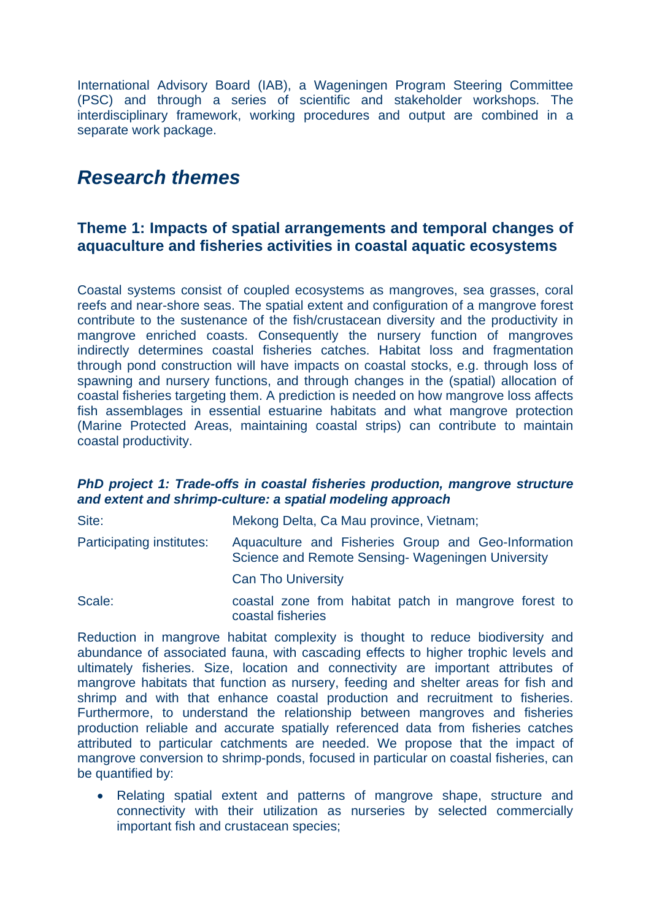International Advisory Board (IAB), a Wageningen Program Steering Committee (PSC) and through a series of scientific and stakeholder workshops. The interdisciplinary framework, working procedures and output are combined in a separate work package.

## *Research themes*

## **Theme 1: Impacts of spatial arrangements and temporal changes of aquaculture and fisheries activities in coastal aquatic ecosystems**

Coastal systems consist of coupled ecosystems as mangroves, sea grasses, coral reefs and near-shore seas. The spatial extent and configuration of a mangrove forest contribute to the sustenance of the fish/crustacean diversity and the productivity in mangrove enriched coasts. Consequently the nursery function of mangroves indirectly determines coastal fisheries catches. Habitat loss and fragmentation through pond construction will have impacts on coastal stocks, e.g. through loss of spawning and nursery functions, and through changes in the (spatial) allocation of coastal fisheries targeting them. A prediction is needed on how mangrove loss affects fish assemblages in essential estuarine habitats and what mangrove protection (Marine Protected Areas, maintaining coastal strips) can contribute to maintain coastal productivity.

### *PhD project 1: Trade-offs in coastal fisheries production, mangrove structure and extent and shrimp-culture: a spatial modeling approach*

| Site:                     | Mekong Delta, Ca Mau province, Vietnam;                                                                 |
|---------------------------|---------------------------------------------------------------------------------------------------------|
| Participating institutes: | Aquaculture and Fisheries Group and Geo-Information<br>Science and Remote Sensing-Wageningen University |
|                           | <b>Can Tho University</b>                                                                               |
| Scale:                    | coastal zone from habitat patch in mangrove forest to<br>coastal fisheries                              |

Reduction in mangrove habitat complexity is thought to reduce biodiversity and abundance of associated fauna, with cascading effects to higher trophic levels and ultimately fisheries. Size, location and connectivity are important attributes of mangrove habitats that function as nursery, feeding and shelter areas for fish and shrimp and with that enhance coastal production and recruitment to fisheries. Furthermore, to understand the relationship between mangroves and fisheries production reliable and accurate spatially referenced data from fisheries catches attributed to particular catchments are needed. We propose that the impact of mangrove conversion to shrimp-ponds, focused in particular on coastal fisheries, can be quantified by:

• Relating spatial extent and patterns of mangrove shape, structure and connectivity with their utilization as nurseries by selected commercially important fish and crustacean species;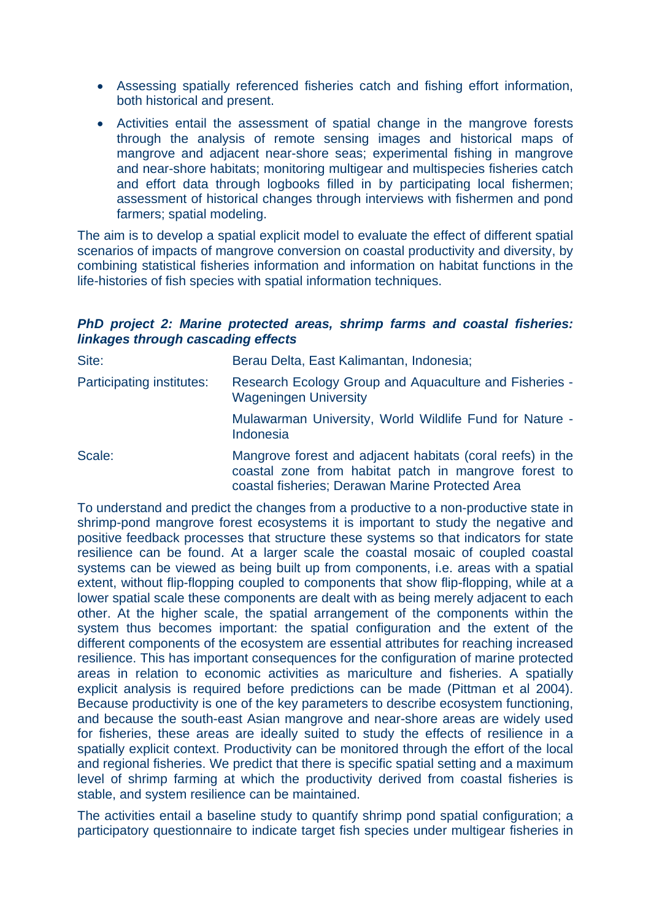- Assessing spatially referenced fisheries catch and fishing effort information, both historical and present.
- Activities entail the assessment of spatial change in the mangrove forests through the analysis of remote sensing images and historical maps of mangrove and adjacent near-shore seas; experimental fishing in mangrove and near-shore habitats; monitoring multigear and multispecies fisheries catch and effort data through logbooks filled in by participating local fishermen; assessment of historical changes through interviews with fishermen and pond farmers; spatial modeling.

The aim is to develop a spatial explicit model to evaluate the effect of different spatial scenarios of impacts of mangrove conversion on coastal productivity and diversity, by combining statistical fisheries information and information on habitat functions in the life-histories of fish species with spatial information techniques.

## *PhD project 2: Marine protected areas, shrimp farms and coastal fisheries: linkages through cascading effects*

| Site:                     | Berau Delta, East Kalimantan, Indonesia;                                                                                                                                |
|---------------------------|-------------------------------------------------------------------------------------------------------------------------------------------------------------------------|
| Participating institutes: | Research Ecology Group and Aquaculture and Fisheries -<br><b>Wageningen University</b>                                                                                  |
|                           | Mulawarman University, World Wildlife Fund for Nature -<br>Indonesia                                                                                                    |
| Scale:                    | Mangrove forest and adjacent habitats (coral reefs) in the<br>coastal zone from habitat patch in mangrove forest to<br>coastal fisheries; Derawan Marine Protected Area |

To understand and predict the changes from a productive to a non-productive state in shrimp-pond mangrove forest ecosystems it is important to study the negative and positive feedback processes that structure these systems so that indicators for state resilience can be found. At a larger scale the coastal mosaic of coupled coastal systems can be viewed as being built up from components, i.e. areas with a spatial extent, without flip-flopping coupled to components that show flip-flopping, while at a lower spatial scale these components are dealt with as being merely adjacent to each other. At the higher scale, the spatial arrangement of the components within the system thus becomes important: the spatial configuration and the extent of the different components of the ecosystem are essential attributes for reaching increased resilience. This has important consequences for the configuration of marine protected areas in relation to economic activities as mariculture and fisheries. A spatially explicit analysis is required before predictions can be made (Pittman et al 2004). Because productivity is one of the key parameters to describe ecosystem functioning, and because the south-east Asian mangrove and near-shore areas are widely used for fisheries, these areas are ideally suited to study the effects of resilience in a spatially explicit context. Productivity can be monitored through the effort of the local and regional fisheries. We predict that there is specific spatial setting and a maximum level of shrimp farming at which the productivity derived from coastal fisheries is stable, and system resilience can be maintained.

The activities entail a baseline study to quantify shrimp pond spatial configuration; a participatory questionnaire to indicate target fish species under multigear fisheries in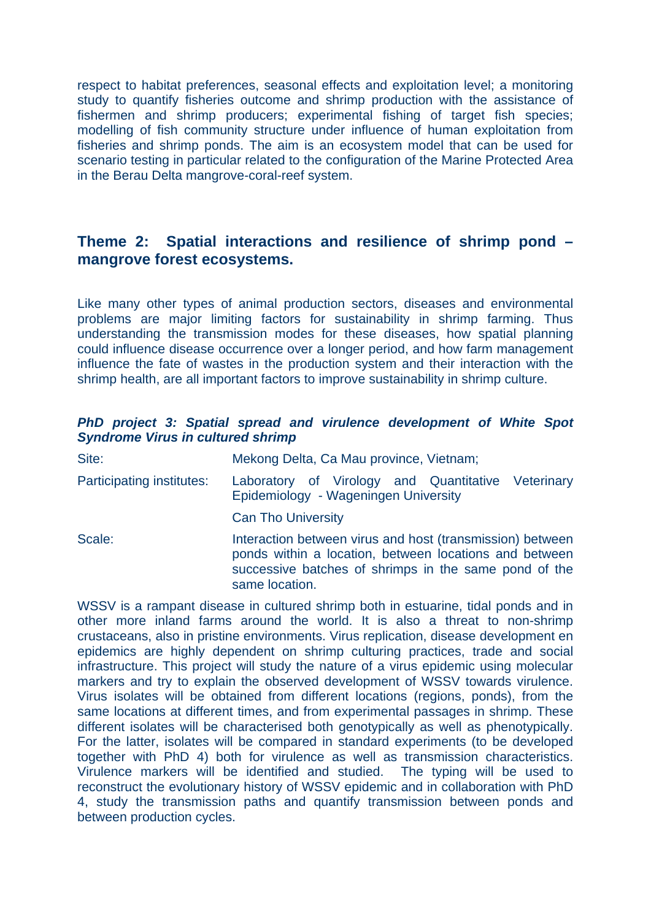respect to habitat preferences, seasonal effects and exploitation level; a monitoring study to quantify fisheries outcome and shrimp production with the assistance of fishermen and shrimp producers; experimental fishing of target fish species; modelling of fish community structure under influence of human exploitation from fisheries and shrimp ponds. The aim is an ecosystem model that can be used for scenario testing in particular related to the configuration of the Marine Protected Area in the Berau Delta mangrove-coral-reef system.

## **Theme 2: Spatial interactions and resilience of shrimp pond – mangrove forest ecosystems.**

Like many other types of animal production sectors, diseases and environmental problems are major limiting factors for sustainability in shrimp farming. Thus understanding the transmission modes for these diseases, how spatial planning could influence disease occurrence over a longer period, and how farm management influence the fate of wastes in the production system and their interaction with the shrimp health, are all important factors to improve sustainability in shrimp culture.

### *PhD project 3: Spatial spread and virulence development of White Spot Syndrome Virus in cultured shrimp*

| Site:                     | Mekong Delta, Ca Mau province, Vietnam;                                                                                                                                                        |
|---------------------------|------------------------------------------------------------------------------------------------------------------------------------------------------------------------------------------------|
| Participating institutes: | Laboratory of Virology and Quantitative Veterinary<br>Epidemiology - Wageningen University                                                                                                     |
|                           | <b>Can Tho University</b>                                                                                                                                                                      |
| Scale:                    | Interaction between virus and host (transmission) between<br>ponds within a location, between locations and between<br>successive batches of shrimps in the same pond of the<br>same location. |

WSSV is a rampant disease in cultured shrimp both in estuarine, tidal ponds and in other more inland farms around the world. It is also a threat to non-shrimp crustaceans, also in pristine environments. Virus replication, disease development en epidemics are highly dependent on shrimp culturing practices, trade and social infrastructure. This project will study the nature of a virus epidemic using molecular markers and try to explain the observed development of WSSV towards virulence. Virus isolates will be obtained from different locations (regions, ponds), from the same locations at different times, and from experimental passages in shrimp. These different isolates will be characterised both genotypically as well as phenotypically. For the latter, isolates will be compared in standard experiments (to be developed together with PhD 4) both for virulence as well as transmission characteristics. Virulence markers will be identified and studied. The typing will be used to reconstruct the evolutionary history of WSSV epidemic and in collaboration with PhD 4, study the transmission paths and quantify transmission between ponds and between production cycles.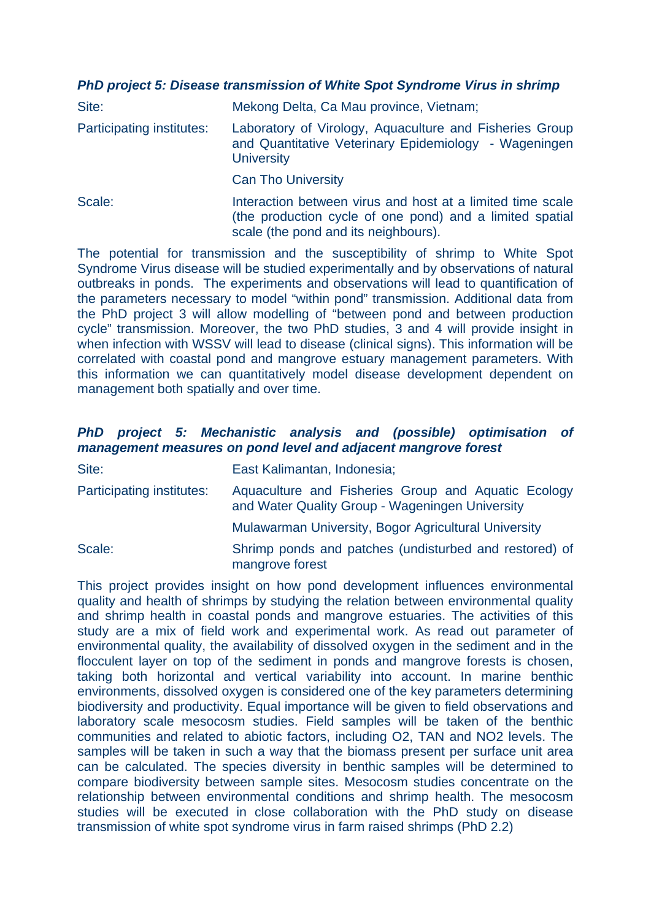## *PhD project 5: Disease transmission of White Spot Syndrome Virus in shrimp*

| Site:                     | Mekong Delta, Ca Mau province, Vietnam;                                                                                                                        |
|---------------------------|----------------------------------------------------------------------------------------------------------------------------------------------------------------|
| Participating institutes: | Laboratory of Virology, Aquaculture and Fisheries Group<br>and Quantitative Veterinary Epidemiology - Wageningen<br><b>University</b>                          |
|                           | <b>Can Tho University</b>                                                                                                                                      |
| Scale:                    | Interaction between virus and host at a limited time scale<br>(the production cycle of one pond) and a limited spatial<br>scale (the pond and its neighbours). |

The potential for transmission and the susceptibility of shrimp to White Spot Syndrome Virus disease will be studied experimentally and by observations of natural outbreaks in ponds. The experiments and observations will lead to quantification of the parameters necessary to model "within pond" transmission. Additional data from the PhD project 3 will allow modelling of "between pond and between production cycle" transmission. Moreover, the two PhD studies, 3 and 4 will provide insight in when infection with WSSV will lead to disease (clinical signs). This information will be correlated with coastal pond and mangrove estuary management parameters. With this information we can quantitatively model disease development dependent on management both spatially and over time.

## *PhD project 5: Mechanistic analysis and (possible) optimisation of management measures on pond level and adjacent mangrove forest*

| Site:                     | East Kalimantan, Indonesia;                                                                            |
|---------------------------|--------------------------------------------------------------------------------------------------------|
| Participating institutes: | Aquaculture and Fisheries Group and Aquatic Ecology<br>and Water Quality Group - Wageningen University |
|                           | Mulawarman University, Bogor Agricultural University                                                   |
| Scale:                    | Shrimp ponds and patches (undisturbed and restored) of<br>mangrove forest                              |

This project provides insight on how pond development influences environmental quality and health of shrimps by studying the relation between environmental quality and shrimp health in coastal ponds and mangrove estuaries. The activities of this study are a mix of field work and experimental work. As read out parameter of environmental quality, the availability of dissolved oxygen in the sediment and in the flocculent layer on top of the sediment in ponds and mangrove forests is chosen, taking both horizontal and vertical variability into account. In marine benthic environments, dissolved oxygen is considered one of the key parameters determining biodiversity and productivity. Equal importance will be given to field observations and laboratory scale mesocosm studies. Field samples will be taken of the benthic communities and related to abiotic factors, including O2, TAN and NO2 levels. The samples will be taken in such a way that the biomass present per surface unit area can be calculated. The species diversity in benthic samples will be determined to compare biodiversity between sample sites. Mesocosm studies concentrate on the relationship between environmental conditions and shrimp health. The mesocosm studies will be executed in close collaboration with the PhD study on disease transmission of white spot syndrome virus in farm raised shrimps (PhD 2.2)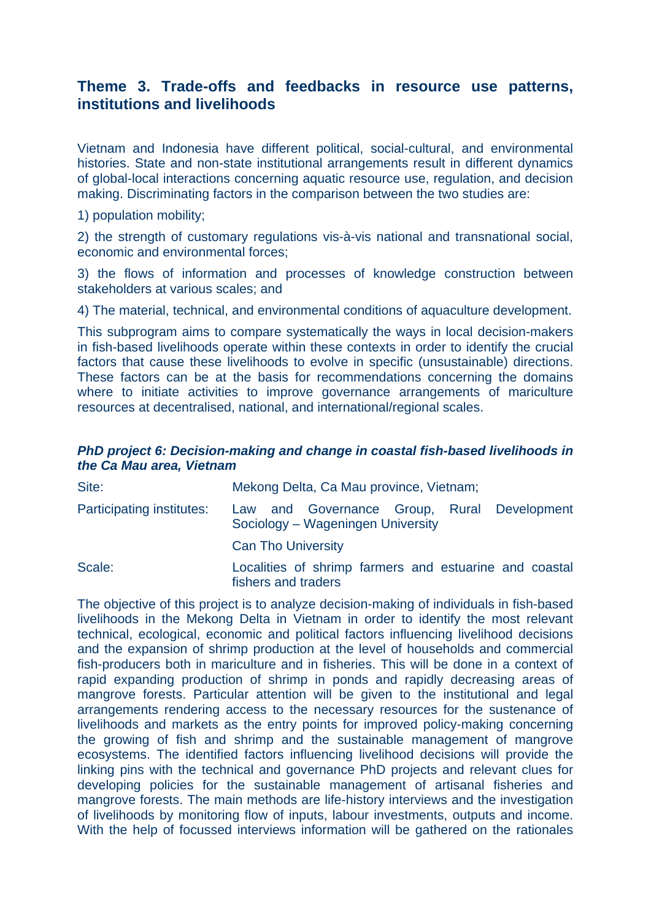## **Theme 3. Trade-offs and feedbacks in resource use patterns, institutions and livelihoods**

Vietnam and Indonesia have different political, social-cultural, and environmental histories. State and non-state institutional arrangements result in different dynamics of global-local interactions concerning aquatic resource use, regulation, and decision making. Discriminating factors in the comparison between the two studies are:

1) population mobility;

2) the strength of customary regulations vis-à-vis national and transnational social, economic and environmental forces;

3) the flows of information and processes of knowledge construction between stakeholders at various scales; and

4) The material, technical, and environmental conditions of aquaculture development.

This subprogram aims to compare systematically the ways in local decision-makers in fish-based livelihoods operate within these contexts in order to identify the crucial factors that cause these livelihoods to evolve in specific (unsustainable) directions. These factors can be at the basis for recommendations concerning the domains where to initiate activities to improve governance arrangements of mariculture resources at decentralised, national, and international/regional scales.

### *PhD project 6: Decision-making and change in coastal fish-based livelihoods in the Ca Mau area, Vietnam*

| Site:                     | Mekong Delta, Ca Mau province, Vietnam;                                          |
|---------------------------|----------------------------------------------------------------------------------|
| Participating institutes: | Law and Governance Group, Rural Development<br>Sociology - Wageningen University |
|                           | <b>Can Tho University</b>                                                        |
| Scale:                    | Localities of shrimp farmers and estuarine and coastal<br>fishers and traders    |

The objective of this project is to analyze decision-making of individuals in fish-based livelihoods in the Mekong Delta in Vietnam in order to identify the most relevant technical, ecological, economic and political factors influencing livelihood decisions and the expansion of shrimp production at the level of households and commercial fish-producers both in mariculture and in fisheries. This will be done in a context of rapid expanding production of shrimp in ponds and rapidly decreasing areas of mangrove forests. Particular attention will be given to the institutional and legal arrangements rendering access to the necessary resources for the sustenance of livelihoods and markets as the entry points for improved policy-making concerning the growing of fish and shrimp and the sustainable management of mangrove ecosystems. The identified factors influencing livelihood decisions will provide the linking pins with the technical and governance PhD projects and relevant clues for developing policies for the sustainable management of artisanal fisheries and mangrove forests. The main methods are life-history interviews and the investigation of livelihoods by monitoring flow of inputs, labour investments, outputs and income. With the help of focussed interviews information will be gathered on the rationales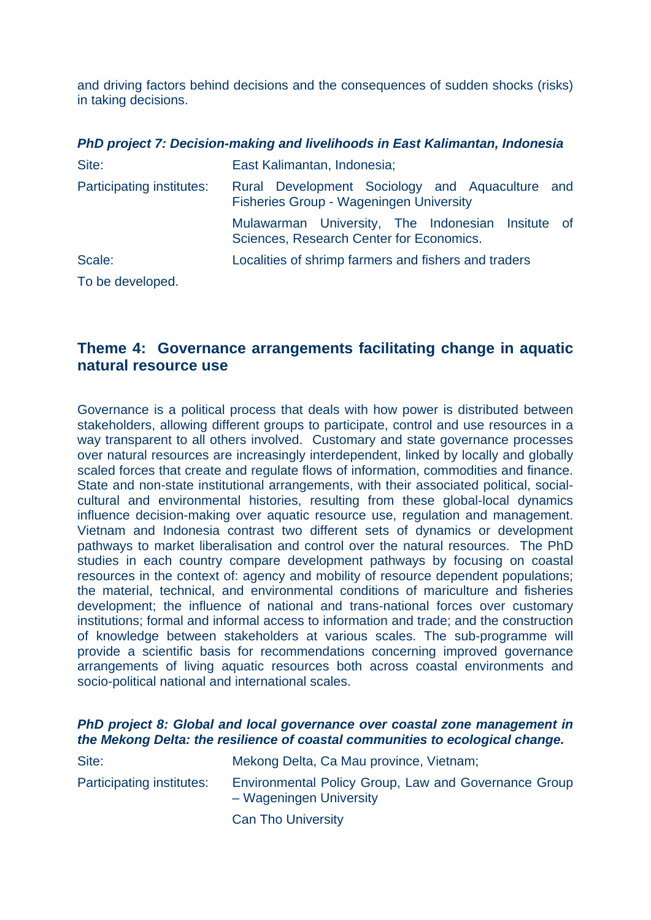and driving factors behind decisions and the consequences of sudden shocks (risks) in taking decisions.

|                           | PhD project 7: Decision-making and livelihoods in East Kalimantan, Indonesia                  |
|---------------------------|-----------------------------------------------------------------------------------------------|
| Site:                     | East Kalimantan, Indonesia;                                                                   |
| Participating institutes: | Rural Development Sociology and Aquaculture and<br>Fisheries Group - Wageningen University    |
|                           | Mulawarman University, The Indonesian Insitute of<br>Sciences, Research Center for Economics. |
| Scale:                    | Localities of shrimp farmers and fishers and traders                                          |
| To be developed.          |                                                                                               |

## **Theme 4: Governance arrangements facilitating change in aquatic natural resource use**

Governance is a political process that deals with how power is distributed between stakeholders, allowing different groups to participate, control and use resources in a way transparent to all others involved. Customary and state governance processes over natural resources are increasingly interdependent, linked by locally and globally scaled forces that create and regulate flows of information, commodities and finance. State and non-state institutional arrangements, with their associated political, socialcultural and environmental histories, resulting from these global-local dynamics influence decision-making over aquatic resource use, regulation and management. Vietnam and Indonesia contrast two different sets of dynamics or development pathways to market liberalisation and control over the natural resources. The PhD studies in each country compare development pathways by focusing on coastal resources in the context of: agency and mobility of resource dependent populations; the material, technical, and environmental conditions of mariculture and fisheries development; the influence of national and trans-national forces over customary institutions; formal and informal access to information and trade; and the construction of knowledge between stakeholders at various scales. The sub-programme will provide a scientific basis for recommendations concerning improved governance arrangements of living aquatic resources both across coastal environments and socio-political national and international scales.

## *PhD project 8: Global and local governance over coastal zone management in the Mekong Delta: the resilience of coastal communities to ecological change.*

| Site:                     | Mekong Delta, Ca Mau province, Vietnam;                                         |
|---------------------------|---------------------------------------------------------------------------------|
| Participating institutes: | Environmental Policy Group, Law and Governance Group<br>- Wageningen University |
|                           | <b>Can Tho University</b>                                                       |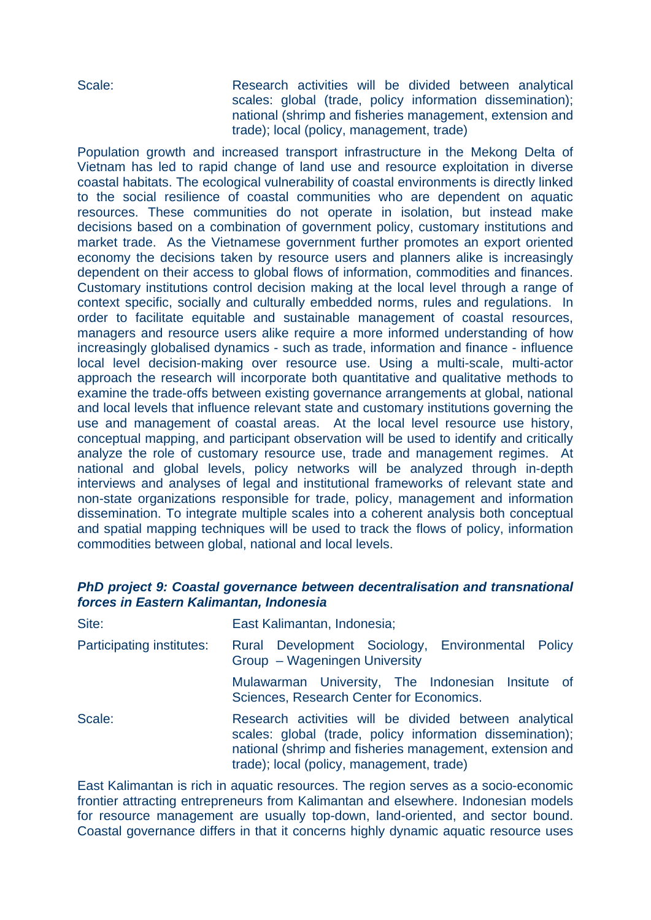Scale: Research activities will be divided between analytical scales: global (trade, policy information dissemination); national (shrimp and fisheries management, extension and trade); local (policy, management, trade)

Population growth and increased transport infrastructure in the Mekong Delta of Vietnam has led to rapid change of land use and resource exploitation in diverse coastal habitats. The ecological vulnerability of coastal environments is directly linked to the social resilience of coastal communities who are dependent on aquatic resources. These communities do not operate in isolation, but instead make decisions based on a combination of government policy, customary institutions and market trade. As the Vietnamese government further promotes an export oriented economy the decisions taken by resource users and planners alike is increasingly dependent on their access to global flows of information, commodities and finances. Customary institutions control decision making at the local level through a range of context specific, socially and culturally embedded norms, rules and regulations. In order to facilitate equitable and sustainable management of coastal resources, managers and resource users alike require a more informed understanding of how increasingly globalised dynamics - such as trade, information and finance - influence local level decision-making over resource use. Using a multi-scale, multi-actor approach the research will incorporate both quantitative and qualitative methods to examine the trade-offs between existing governance arrangements at global, national and local levels that influence relevant state and customary institutions governing the use and management of coastal areas. At the local level resource use history, conceptual mapping, and participant observation will be used to identify and critically analyze the role of customary resource use, trade and management regimes. At national and global levels, policy networks will be analyzed through in-depth interviews and analyses of legal and institutional frameworks of relevant state and non-state organizations responsible for trade, policy, management and information dissemination. To integrate multiple scales into a coherent analysis both conceptual and spatial mapping techniques will be used to track the flows of policy, information commodities between global, national and local levels.

## *PhD project 9: Coastal governance between decentralisation and transnational forces in Eastern Kalimantan, Indonesia*

| Site:                     | East Kalimantan, Indonesia;                                                                                                                                                                                                  |
|---------------------------|------------------------------------------------------------------------------------------------------------------------------------------------------------------------------------------------------------------------------|
| Participating institutes: | Rural Development Sociology, Environmental Policy<br>Group - Wageningen University                                                                                                                                           |
|                           | Mulawarman University, The Indonesian Insitute of<br>Sciences, Research Center for Economics.                                                                                                                                |
| Scale:                    | Research activities will be divided between analytical<br>scales: global (trade, policy information dissemination);<br>national (shrimp and fisheries management, extension and<br>trade); local (policy, management, trade) |

East Kalimantan is rich in aquatic resources. The region serves as a socio-economic frontier attracting entrepreneurs from Kalimantan and elsewhere. Indonesian models for resource management are usually top-down, land-oriented, and sector bound. Coastal governance differs in that it concerns highly dynamic aquatic resource uses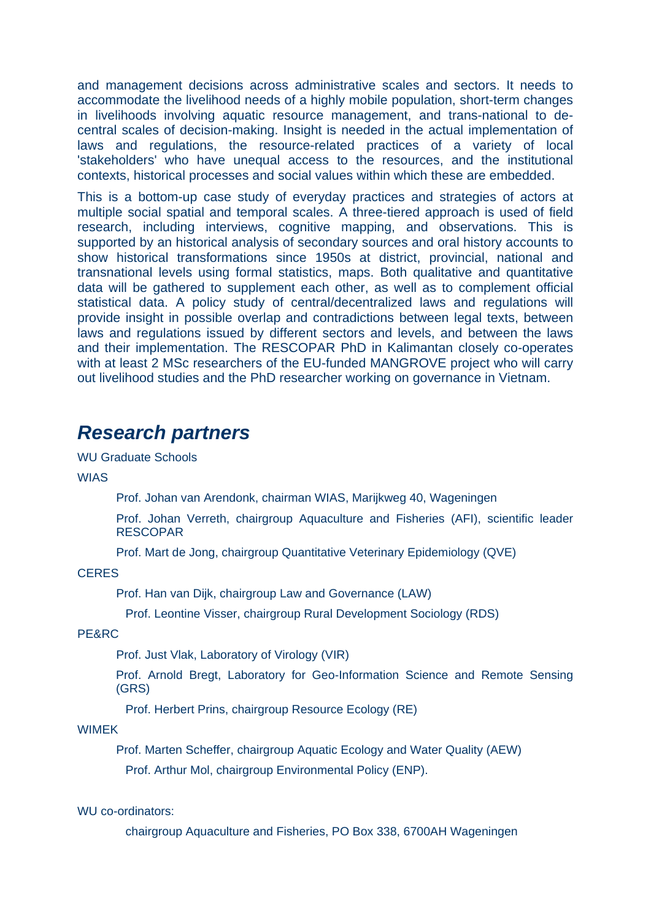and management decisions across administrative scales and sectors. It needs to accommodate the livelihood needs of a highly mobile population, short-term changes in livelihoods involving aquatic resource management, and trans-national to decentral scales of decision-making. Insight is needed in the actual implementation of laws and regulations, the resource-related practices of a variety of local 'stakeholders' who have unequal access to the resources, and the institutional contexts, historical processes and social values within which these are embedded.

This is a bottom-up case study of everyday practices and strategies of actors at multiple social spatial and temporal scales. A three-tiered approach is used of field research, including interviews, cognitive mapping, and observations. This is supported by an historical analysis of secondary sources and oral history accounts to show historical transformations since 1950s at district, provincial, national and transnational levels using formal statistics, maps. Both qualitative and quantitative data will be gathered to supplement each other, as well as to complement official statistical data. A policy study of central/decentralized laws and regulations will provide insight in possible overlap and contradictions between legal texts, between laws and regulations issued by different sectors and levels, and between the laws and their implementation. The RESCOPAR PhD in Kalimantan closely co-operates with at least 2 MSc researchers of the EU-funded MANGROVE project who will carry out livelihood studies and the PhD researcher working on governance in Vietnam.

## *Research partners*

WU Graduate Schools

WIAS

Prof. Johan van Arendonk, chairman WIAS, Marijkweg 40, Wageningen

Prof. Johan Verreth, chairgroup Aquaculture and Fisheries (AFI), scientific leader RESCOPAR

Prof. Mart de Jong, chairgroup Quantitative Veterinary Epidemiology (QVE)

**CERES** 

Prof. Han van Dijk, chairgroup Law and Governance (LAW)

Prof. Leontine Visser, chairgroup Rural Development Sociology (RDS)

PE&RC

Prof. Just Vlak, Laboratory of Virology (VIR)

Prof. Arnold Bregt, Laboratory for Geo-Information Science and Remote Sensing (GRS)

Prof. Herbert Prins, chairgroup Resource Ecology (RE)

#### WIMEK

Prof. Marten Scheffer, chairgroup Aquatic Ecology and Water Quality (AEW) Prof. Arthur Mol, chairgroup Environmental Policy (ENP).

WU co-ordinators:

chairgroup Aquaculture and Fisheries, PO Box 338, 6700AH Wageningen